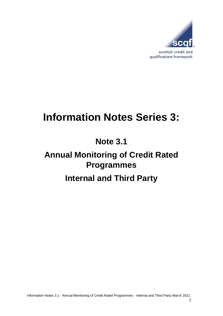

# **Information Notes Series 3:**

**Note 3.1**

## **Annual Monitoring of Credit Rated Programmes**

### **Internal and Third Party**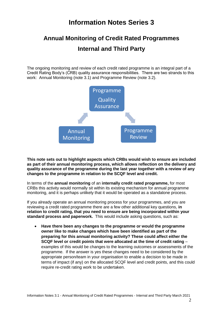### **Information Notes Series 3**

### **Annual Monitoring of Credit Rated Programmes Internal and Third Party**

The ongoing monitoring and review of each credit rated programme is an integral part of a Credit Rating Body's (CRB) quality assurance responsibilities. There are two strands to this work: Annual Monitoring (note 3.1) and Programme Review (note 3.2).



**This note sets out to highlight aspects which CRBs would wish to ensure are included as part of their annual monitoring process, which allows reflection on the delivery and quality assurance of the programme during the last year together with a review of any changes to the programme in relation to the SCQF level and credit.**

In terms of the **annual monitoring** of an **internally credit rated programme,** for most CRBs this activity would normally sit within its existing mechanism for annual programme monitoring, and it is perhaps unlikely that it would be operated as a standalone process.

If you already operate an annual monitoring process for your programmes, and you are reviewing a credit rated programme there are a few other additional key questions, **in relation to credit rating, that you need to ensure are being incorporated within your standard process and paperwork.** This would include asking questions, such as:

 **Have there been any changes to the programme or would the programme owner like to make changes which have been identified as part of the preparing for this annual monitoring activity? These could affect either the SCQF level or credit points that were allocated at the time of credit rating** – examples of this would be changes to the learning outcomes or assessments of the programme. If the answer is yes these changes need to be considered by the appropriate person/team in your organisation to enable a decision to be made in terms of impact (if any) on the allocated SCQF level and credit points, and this could require re-credit rating work to be undertaken.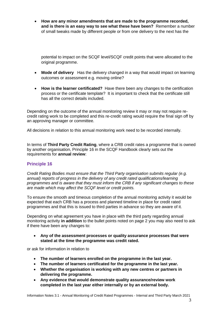**How are any minor amendments that are made to the programme recorded, and is there is an easy way to see what these have been?** Remember a number of small tweaks made by different people or from one delivery to the next has the

potential to impact on the SCQF level/SCQF credit points that were allocated to the original programme.

- **Mode of delivery** Has the delivery changed in a way that would impact on learning outcomes or assessment e.g. moving online?
- **How is the learner certificated?** Have there been any changes to the certification process or the certificate template? It is important to check that the certificate still has all the correct details included.

Depending on the outcome of the annual monitoring review it may or may not require recredit rating work to be completed and this re-credit rating would require the final sign off by an approving manager or committee.

All decisions in relation to this annual monitoring work need to be recorded internally.

In terms of **Third Party Credit Rating**, where a CRB credit rates a programme that is owned by another organisation, Principle 16 in the SCQF Handbook clearly sets out the requirements for **annual review**:

#### **Principle 16**

*Credit Rating Bodies must ensure that the Third Party organisation submits regular (e.g. annual) reports of progress in the delivery of any credit rated qualifications/learning programmes and is aware that they must inform the CRB if any significant changes to these are made which may affect the SCQF level or credit points.* 

To ensure the smooth and timeous completion of the annual monitoring activity it would be expected that each CRB has a process and planned timeline in place for credit rated programmes and that this is issued to third parties in advance so they are aware of it.

Depending on what agreement you have in place with the third party regarding annual monitoring activity **in addition** to the bullet points noted on page 2 you may also need to ask if there have been any changes to:

 **Any of the assessment processes or quality assurance processes that were stated at the time the programme was credit rated.**

or ask for information in relation to

- **The number of learners enrolled on the programme in the last year.**
- **The number of learners certificated for the programme in the last year.**
- **Whether the organisation is working with any new centres or partners in delivering the programme.**
- **Any evidence that would demonstrate quality assurance/review work completed in the last year either internally or by an external body.**